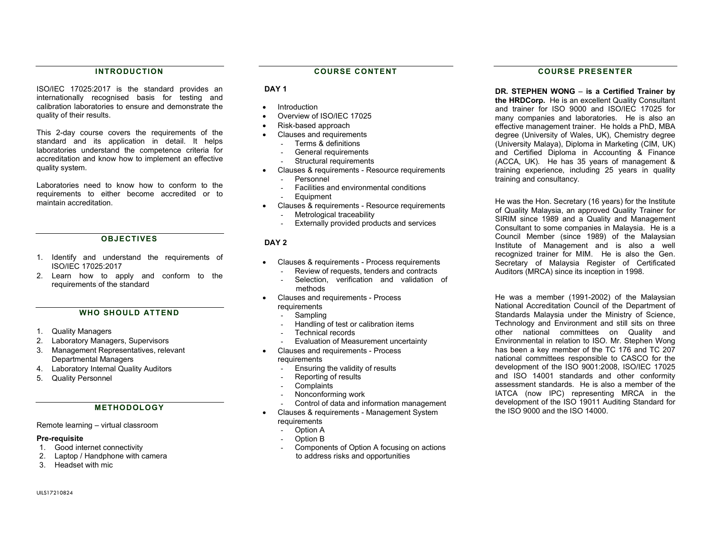## INTRODUCTION

ISO/IEC 17025:2017 is the standard provides an internationally recognised basis for testing and calibration laboratories to ensure and demonstrate the quality of their results.

This 2-day course covers the requirements of the standard and its application in detail. It helps laboratories understand the competence criteria for accreditation and know how to implement an effective quality system.

Laboratories need to know how to conform to the requirements to either become accredited or to maintain accreditation.

#### **OBJECTIVES**

- 1. Identify and understand the requirements of ISO/IEC 17025:2017
- 2. Learn how to apply and conform to the requirements of the standard

#### WHO SHOULD ATTEND

- 1. Quality Managers
- 2. Laboratory Managers, Supervisors
- 3. Management Representatives, relevant Departmental Managers
- 4. Laboratory Internal Quality Auditors
- 5. Quality Personnel

### METHODOLOGY

#### Remote learning – virtual classroom

#### Pre-requisite

- 1. Good internet connectivity
- 2. Laptop / Handphone with camera
- 3. Headset with mic

#### COURSE CONTENT

### DAY<sub>1</sub>

- Introduction
- Overview of ISO/IEC 17025
- Risk-based approach
	- Clauses and requirements
	- Terms & definitions
	- General requirements
	- Structural requirements
- Clauses & requirements Resource requirements
	- Personnel
	- Facilities and environmental conditions
	- **Equipment**
- Clauses & requirements Resource requirements - Metrological traceability
	- Externally provided products and services

#### DAY<sub>2</sub>

- Clauses & requirements Process requirements - Review of requests, tenders and contracts
	- Selection, verification and validation of methods
- Clauses and requirements Process requirements
	- Sampling
	- Handling of test or calibration items
	- Technical records
	- Evaluation of Measurement uncertainty
- Clauses and requirements Process requirements
	- Ensuring the validity of results
	- Reporting of results
	- Complaints
	- Nonconforming work
	- Control of data and information management
- Clauses & requirements Management System requirements
	- Option A
	- Option B
	- Components of Option A focusing on actions to address risks and opportunities

## COURSE PRESENTER

DR. STEPHEN WONG – is a Certified Trainer by the HRDCorp. He is an excellent Quality Consultant and trainer for ISO 9000 and ISO/IEC 17025 for many companies and laboratories. He is also an effective management trainer. He holds a PhD, MBA degree (University of Wales, UK), Chemistry degree (University Malaya), Diploma in Marketing (CIM, UK) and Certified Diploma in Accounting & Finance (ACCA, UK). He has 35 years of management & training experience, including 25 years in quality training and consultancy.

He was the Hon. Secretary (16 years) for the Institute of Quality Malaysia, an approved Quality Trainer for SIRIM since 1989 and a Quality and Management Consultant to some companies in Malaysia. He is a Council Member (since 1989) of the Malaysian Institute of Management and is also a well recognized trainer for MIM. He is also the Gen. Secretary of Malaysia Register of Certificated Auditors (MRCA) since its inception in 1998.

He was a member (1991-2002) of the Malaysian National Accreditation Council of the Department of Standards Malaysia under the Ministry of Science, Technology and Environment and still sits on three other national committees on Quality and Environmental in relation to ISO. Mr. Stephen Wong has been a key member of the TC 176 and TC 207 national committees responsible to CASCO for the development of the ISO 9001:2008, ISO/IEC 17025 and ISO 14001 standards and other conformity assessment standards. He is also a member of the IATCA (now IPC) representing MRCA in the development of the ISO 19011 Auditing Standard for the ISO 9000 and the ISO 14000.

UILS17210824